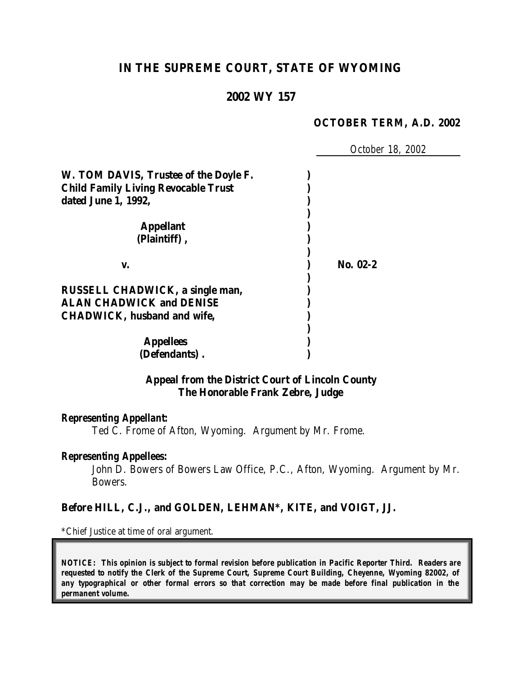# **IN THE SUPREME COURT, STATE OF WYOMING**

# **2002 WY 157**

#### **OCTOBER TERM, A.D. 2002**

*October 18, 2002*

| W. TOM DAVIS, Trustee of the Doyle F.      |          |
|--------------------------------------------|----------|
| <b>Child Family Living Revocable Trust</b> |          |
| dated June 1, 1992,                        |          |
|                                            |          |
| <b>Appellant</b>                           |          |
| (Plaintiff),                               |          |
|                                            |          |
| v.                                         | No. 02-2 |
|                                            |          |
| RUSSELL CHADWICK, a single man,            |          |
| <b>ALAN CHADWICK and DENISE</b>            |          |
| <b>CHADWICK, husband and wife,</b>         |          |
|                                            |          |
| <b>Appellees</b>                           |          |
| (Defendants).                              |          |

## **Appeal from the District Court of Lincoln County The Honorable Frank Zebre, Judge**

#### *Representing Appellant:*

Ted C. Frome of Afton, Wyoming. Argument by Mr. Frome.

#### *Representing Appellees:*

John D. Bowers of Bowers Law Office, P.C., Afton, Wyoming. Argument by Mr. Bowers.

#### **Before HILL, C.J., and GOLDEN, LEHMAN\*, KITE, and VOIGT, JJ.**

\*Chief Justice at time of oral argument.

*NOTICE: This opinion is subject to formal revision before publication in Pacific Reporter Third. Readers are requested to notify the Clerk of the Supreme Court, Supreme Court Building, Cheyenne, Wyoming 82002, of any typographical or other formal errors so that correction may be made before final publication in the permanent volume.*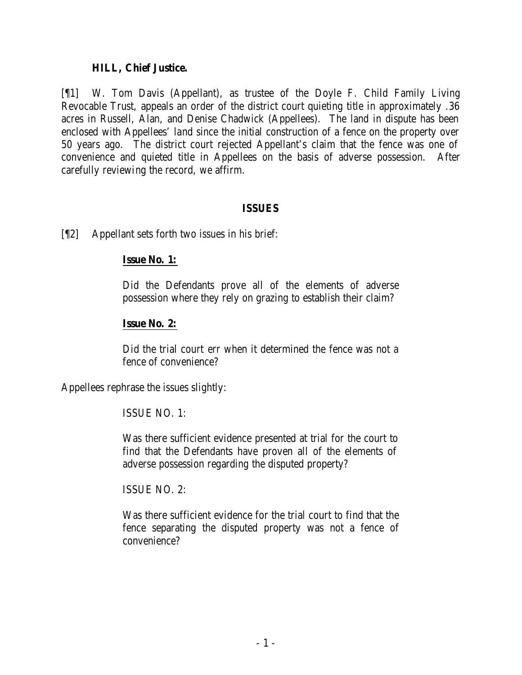### **HILL, Chief Justice.**

[¶1] W. Tom Davis (Appellant), as trustee of the Doyle F. Child Family Living Revocable Trust, appeals an order of the district court quieting title in approximately .36 acres in Russell, Alan, and Denise Chadwick (Appellees). The land in dispute has been enclosed with Appellees' land since the initial construction of a fence on the property over 50 years ago. The district court rejected Appellant's claim that the fence was one of convenience and quieted title in Appellees on the basis of adverse possession. After carefully reviewing the record, we affirm.

#### **ISSUES**

[¶2] Appellant sets forth two issues in his brief:

## **Issue No. 1:**

Did the Defendants prove all of the elements of adverse possession where they rely on grazing to establish their claim?

## **Issue No. 2:**

Did the trial court err when it determined the fence was not a fence of convenience?

Appellees rephrase the issues slightly:

### ISSUE NO. 1:

Was there sufficient evidence presented at trial for the court to find that the Defendants have proven all of the elements of adverse possession regarding the disputed property?

ISSUE NO. 2:

Was there sufficient evidence for the trial court to find that the fence separating the disputed property was not a fence of convenience?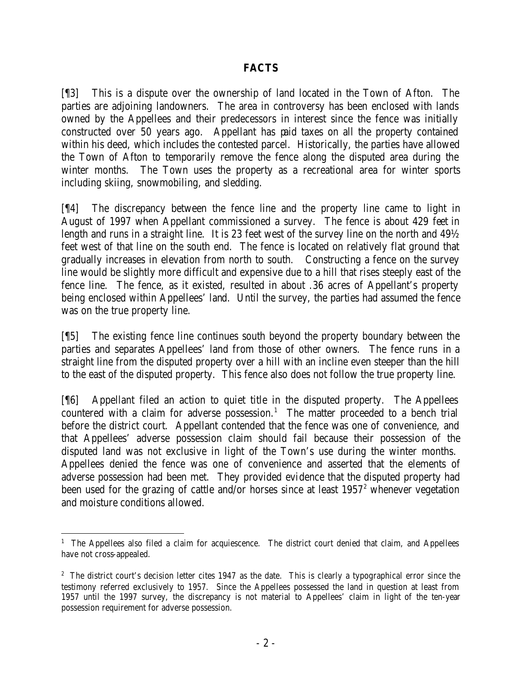# **FACTS**

[¶3] This is a dispute over the ownership of land located in the Town of Afton. The parties are adjoining landowners. The area in controversy has been enclosed with lands owned by the Appellees and their predecessors in interest since the fence was initially constructed over 50 years ago. Appellant has paid taxes on all the property contained within his deed, which includes the contested parcel. Historically, the parties have allowed the Town of Afton to temporarily remove the fence along the disputed area during the winter months. The Town uses the property as a recreational area for winter sports including skiing, snowmobiling, and sledding.

[¶4] The discrepancy between the fence line and the property line came to light in August of 1997 when Appellant commissioned a survey. The fence is about 429 feet in length and runs in a straight line. It is 23 feet west of the survey line on the north and  $49\%$ feet west of that line on the south end. The fence is located on relatively flat ground that gradually increases in elevation from north to south. Constructing a fence on the survey line would be slightly more difficult and expensive due to a hill that rises steeply east of the fence line. The fence, as it existed, resulted in about .36 acres of Appellant's property being enclosed within Appellees' land. Until the survey, the parties had assumed the fence was on the true property line.

[¶5] The existing fence line continues south beyond the property boundary between the parties and separates Appellees' land from those of other owners. The fence runs in a straight line from the disputed property over a hill with an incline even steeper than the hill to the east of the disputed property. This fence also does not follow the true property line.

[¶6] Appellant filed an action to quiet title in the disputed property. The Appellees countered with a claim for adverse possession.<sup>1</sup> The matter proceeded to a bench trial before the district court. Appellant contended that the fence was one of convenience, and that Appellees' adverse possession claim should fail because their possession of the disputed land was not exclusive in light of the Town's use during the winter months. Appellees denied the fence was one of convenience and asserted that the elements of adverse possession had been met. They provided evidence that the disputed property had been used for the grazing of cattle and/or horses since at least  $1957<sup>2</sup>$  whenever vegetation and moisture conditions allowed.

<sup>&</sup>lt;sup>1</sup> The Appellees also filed a claim for acquiescence. The district court denied that claim, and Appellees have not cross-appealed.

<sup>&</sup>lt;sup>2</sup> The district court's decision letter cites 1947 as the date. This is clearly a typographical error since the testimony referred exclusively to 1957. Since the Appellees possessed the land in question at least from 1957 until the 1997 survey, the discrepancy is not material to Appellees' claim in light of the ten-year possession requirement for adverse possession.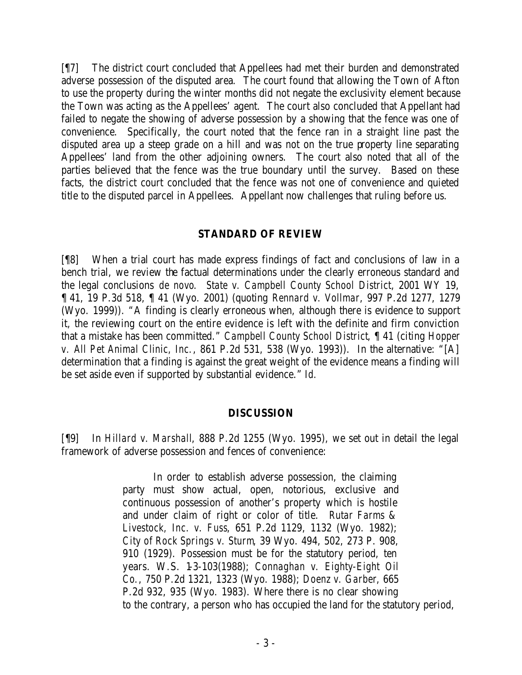[¶7] The district court concluded that Appellees had met their burden and demonstrated adverse possession of the disputed area. The court found that allowing the Town of Afton to use the property during the winter months did not negate the exclusivity element because the Town was acting as the Appellees' agent. The court also concluded that Appellant had failed to negate the showing of adverse possession by a showing that the fence was one of convenience. Specifically, the court noted that the fence ran in a straight line past the disputed area up a steep grade on a hill and was not on the true property line separating Appellees' land from the other adjoining owners. The court also noted that all of the parties believed that the fence was the true boundary until the survey. Based on these facts, the district court concluded that the fence was not one of convenience and quieted title to the disputed parcel in Appellees. Appellant now challenges that ruling before us.

### **STANDARD OF REVIEW**

[¶8] When a trial court has made express findings of fact and conclusions of law in a bench trial, we review the factual determinations under the clearly erroneous standard and the legal conclusions *de novo*. *State v. Campbell County School District*, 2001 WY 19, ¶ 41, 19 P.3d 518, ¶ 41 (Wyo. 2001) (quoting *Rennard v. Vollmar*, 997 P.2d 1277, 1279 (Wyo. 1999)). "A finding is clearly erroneous when, although there is evidence to support it, the reviewing court on the entire evidence is left with the definite and firm conviction that a mistake has been committed." *Campbell County School District*, ¶ 41 (citing *Hopper v. All Pet Animal Clinic, Inc.*, 861 P.2d 531, 538 (Wyo. 1993)). In the alternative: "[A] determination that a finding is against the great weight of the evidence means a finding will be set aside even if supported by substantial evidence." *Id.*

### **DISCUSSION**

[¶9] In *Hillard v. Marshall*, 888 P.2d 1255 (Wyo. 1995), we set out in detail the legal framework of adverse possession and fences of convenience:

> In order to establish adverse possession, the claiming party must show actual, open, notorious, exclusive and continuous possession of another's property which is hostile and under claim of right or color of title. *Rutar Farms & Livestock, Inc. v. Fuss*, 651 P.2d 1129, 1132 (Wyo. 1982); *City of Rock Springs v. Sturm*, 39 Wyo. 494, 502, 273 P. 908, 910 (1929). Possession must be for the statutory period, ten years. W.S. 1-3-103(1988); *Connaghan v. Eighty-Eight Oil Co.*, 750 P.2d 1321, 1323 (Wyo. 1988); *Doenz v. Garber*, 665 P.2d 932, 935 (Wyo. 1983). Where there is no clear showing to the contrary, a person who has occupied the land for the statutory period,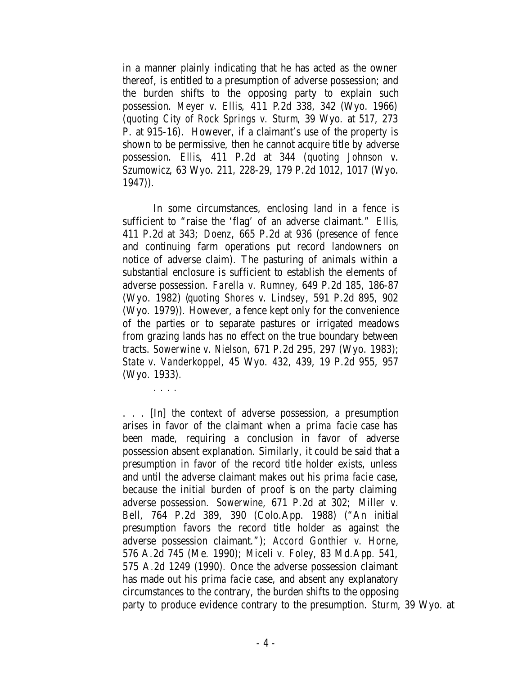in a manner plainly indicating that he has acted as the owner thereof, is entitled to a presumption of adverse possession; and the burden shifts to the opposing party to explain such possession. *Meyer v. Ellis*, 411 P.2d 338, 342 (Wyo. 1966) (*quoting City of Rock Springs v. Sturm*, 39 Wyo. at 517, 273 P. at 915-16). However, if a claimant's use of the property is shown to be permissive, then he cannot acquire title by adverse possession. *Ellis*, 411 P.2d at 344 (*quoting Johnson v. Szumowicz*, 63 Wyo. 211, 228-29, 179 P.2d 1012, 1017 (Wyo. 1947)).

In some circumstances, enclosing land in a fence is sufficient to "raise the 'flag' of an adverse claimant." *Ellis*, 411 P.2d at 343; *Doenz*, 665 P.2d at 936 (presence of fence and continuing farm operations put record landowners on notice of adverse claim). The pasturing of animals within a substantial enclosure is sufficient to establish the elements of adverse possession. *Farella v. Rumney*, 649 P.2d 185, 186-87 (Wyo. 1982) (*quoting Shores v. Lindsey*, 591 P.2d 895, 902 (Wyo. 1979)). However, a fence kept only for the convenience of the parties or to separate pastures or irrigated meadows from grazing lands has no effect on the true boundary between tracts. *Sowerwine v. Nielson*, 671 P.2d 295, 297 (Wyo. 1983); *State v. Vanderkoppel*, 45 Wyo. 432, 439, 19 P.2d 955, 957 (Wyo. 1933).

. . . .

. . . [In] the context of adverse possession, a presumption arises in favor of the claimant when a *prima facie* case has been made, requiring a conclusion in favor of adverse possession absent explanation. Similarly, it could be said that a presumption in favor of the record title holder exists, unless and until the adverse claimant makes out his *prima facie* case, because the initial burden of proof is on the party claiming adverse possession. *Sowerwine*, 671 P.2d at 302; *Miller v. Bell*, 764 P.2d 389, 390 (Colo.App. 1988) ("An initial presumption favors the record title holder as against the adverse possession claimant."); *Accord Gonthier v. Horne*, 576 A.2d 745 (Me. 1990); *Miceli v. Foley*, 83 Md.App. 541, 575 A.2d 1249 (1990). Once the adverse possession claimant has made out his *prima facie* case, and absent any explanatory circumstances to the contrary, the burden shifts to the opposing party to produce evidence contrary to the presumption. *Sturm*, 39 Wyo. at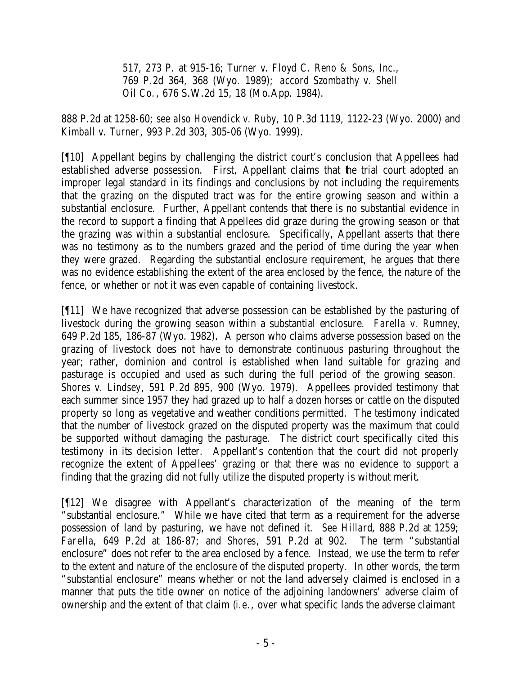517, 273 P. at 915-16; *Turner v. Floyd C. Reno & Sons, Inc.*, 769 P.2d 364, 368 (Wyo. 1989); *accord Szombathy v. Shell Oil Co.*, 676 S.W.2d 15, 18 (Mo.App. 1984).

888 P.2d at 1258-60; *see also Hovendick v. Ruby*, 10 P.3d 1119, 1122-23 (Wyo. 2000) and *Kimball v. Turner*, 993 P.2d 303, 305-06 (Wyo. 1999).

[¶10] Appellant begins by challenging the district court's conclusion that Appellees had established adverse possession. First, Appellant claims that the trial court adopted an improper legal standard in its findings and conclusions by not including the requirements that the grazing on the disputed tract was for the entire growing season and within a substantial enclosure. Further, Appellant contends that there is no substantial evidence in the record to support a finding that Appellees did graze during the growing season or that the grazing was within a substantial enclosure. Specifically, Appellant asserts that there was no testimony as to the numbers grazed and the period of time during the year when they were grazed. Regarding the substantial enclosure requirement, he argues that there was no evidence establishing the extent of the area enclosed by the fence, the nature of the fence, or whether or not it was even capable of containing livestock.

[¶11] We have recognized that adverse possession can be established by the pasturing of livestock during the growing season within a substantial enclosure. *Farella v. Rumney*, 649 P.2d 185, 186-87 (Wyo. 1982). A person who claims adverse possession based on the grazing of livestock does not have to demonstrate continuous pasturing throughout the year; rather, dominion and control is established when land suitable for grazing and pasturage is occupied and used as such during the full period of the growing season. *Shores v. Lindsey*, 591 P.2d 895, 900 (Wyo. 1979). Appellees provided testimony that each summer since 1957 they had grazed up to half a dozen horses or cattle on the disputed property so long as vegetative and weather conditions permitted. The testimony indicated that the number of livestock grazed on the disputed property was the maximum that could be supported without damaging the pasturage. The district court specifically cited this testimony in its decision letter. Appellant's contention that the court did not properly recognize the extent of Appellees' grazing or that there was no evidence to support a finding that the grazing did not fully utilize the disputed property is without merit.

[¶12] We disagree with Appellant's characterization of the meaning of the term "substantial enclosure." While we have cited that term as a requirement for the adverse possession of land by pasturing, we have not defined it. *See Hillard*, 888 P.2d at 1259; *Farella*, 649 P.2d at 186-87; and *Shores*, 591 P.2d at 902. The term "substantial enclosure" does not refer to the area enclosed by a fence. Instead, we use the term to refer to the extent and nature of the enclosure of the disputed property. In other words, the term "substantial enclosure" means whether or not the land adversely claimed is enclosed in a manner that puts the title owner on notice of the adjoining landowners' adverse claim of ownership and the extent of that claim (*i.e*., over what specific lands the adverse claimant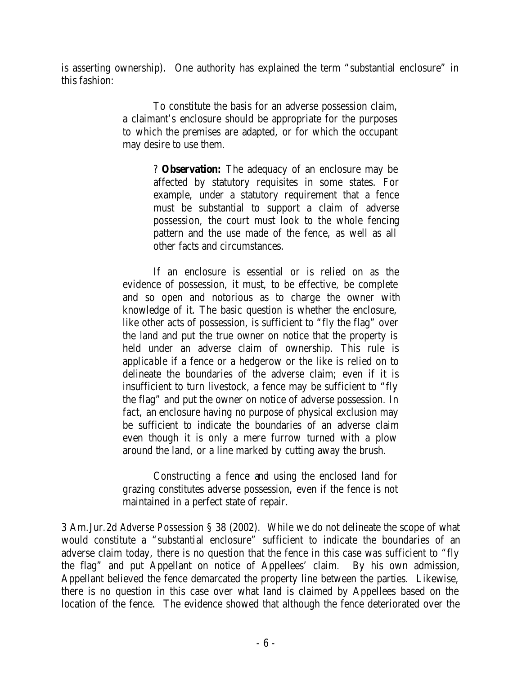is asserting ownership). One authority has explained the term "substantial enclosure" in this fashion:

> To constitute the basis for an adverse possession claim, a claimant's enclosure should be appropriate for the purposes to which the premises are adapted, or for which the occupant may desire to use them.

> > ? **Observation:** The adequacy of an enclosure may be affected by statutory requisites in some states. For example, under a statutory requirement that a fence must be substantial to support a claim of adverse possession, the court must look to the whole fencing pattern and the use made of the fence, as well as all other facts and circumstances.

If an enclosure is essential or is relied on as the evidence of possession, it must, to be effective, be complete and so open and notorious as to charge the owner with knowledge of it. The basic question is whether the enclosure, like other acts of possession, is sufficient to "fly the flag" over the land and put the true owner on notice that the property is held under an adverse claim of ownership. This rule is applicable if a fence or a hedgerow or the like is relied on to delineate the boundaries of the adverse claim; even if it is insufficient to turn livestock, a fence may be sufficient to "fly the flag" and put the owner on notice of adverse possession. In fact, an enclosure having no purpose of physical exclusion may be sufficient to indicate the boundaries of an adverse claim even though it is only a mere furrow turned with a plow around the land, or a line marked by cutting away the brush.

Constructing a fence and using the enclosed land for grazing constitutes adverse possession, even if the fence is not maintained in a perfect state of repair.

3 Am.Jur.2d *Adverse Possession* § 38 (2002). While we do not delineate the scope of what would constitute a "substantial enclosure" sufficient to indicate the boundaries of an adverse claim today, there is no question that the fence in this case was sufficient to "fly the flag" and put Appellant on notice of Appellees' claim. By his own admission, Appellant believed the fence demarcated the property line between the parties. Likewise, there is no question in this case over what land is claimed by Appellees based on the location of the fence. The evidence showed that although the fence deteriorated over the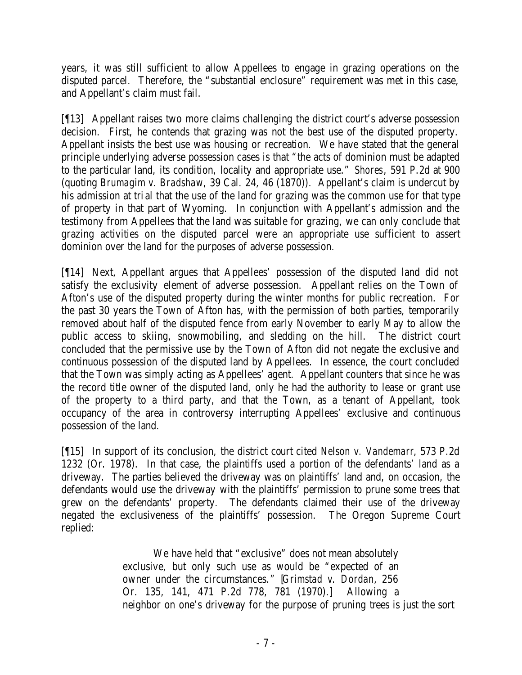years, it was still sufficient to allow Appellees to engage in grazing operations on the disputed parcel. Therefore, the "substantial enclosure" requirement was met in this case, and Appellant's claim must fail.

[¶13] Appellant raises two more claims challenging the district court's adverse possession decision. First, he contends that grazing was not the best use of the disputed property. Appellant insists the best use was housing or recreation. We have stated that the general principle underlying adverse possession cases is that "the acts of dominion must be adapted to the particular land, its condition, locality and appropriate use." *Shores*, 591 P.2d at 900 (quoting *Brumagim v. Bradshaw*, 39 Cal. 24, 46 (1870)). Appellant's claim is undercut by his admission at trial that the use of the land for grazing was the common use for that type of property in that part of Wyoming. In conjunction with Appellant's admission and the testimony from Appellees that the land was suitable for grazing, we can only conclude that grazing activities on the disputed parcel were an appropriate use sufficient to assert dominion over the land for the purposes of adverse possession.

[¶14] Next, Appellant argues that Appellees' possession of the disputed land did not satisfy the exclusivity element of adverse possession. Appellant relies on the Town of Afton's use of the disputed property during the winter months for public recreation. For the past 30 years the Town of Afton has, with the permission of both parties, temporarily removed about half of the disputed fence from early November to early May to allow the public access to skiing, snowmobiling, and sledding on the hill. The district court concluded that the permissive use by the Town of Afton did not negate the exclusive and continuous possession of the disputed land by Appellees. In essence, the court concluded that the Town was simply acting as Appellees' agent. Appellant counters that since he was the record title owner of the disputed land, only he had the authority to lease or grant use of the property to a third party, and that the Town, as a tenant of Appellant, took occupancy of the area in controversy interrupting Appellees' exclusive and continuous possession of the land.

[¶15] In support of its conclusion, the district court cited *Nelson v. Vandemarr*, 573 P.2d 1232 (Or. 1978). In that case, the plaintiffs used a portion of the defendants' land as a driveway. The parties believed the driveway was on plaintiffs' land and, on occasion, the defendants would use the driveway with the plaintiffs' permission to prune some trees that grew on the defendants' property. The defendants claimed their use of the driveway negated the exclusiveness of the plaintiffs' possession. The Oregon Supreme Court replied:

> We have held that "exclusive" does not mean absolutely exclusive, but only such use as would be "expected of an owner under the circumstances." [*Grimstad v. Dordan*, 256 Or. 135, 141, 471 P.2d 778, 781 (1970).] Allowing a neighbor on one's driveway for the purpose of pruning trees is just the sort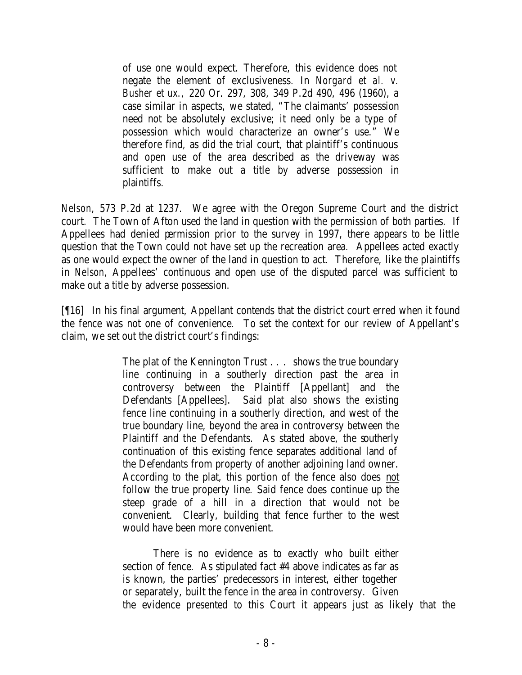of use one would expect. Therefore, this evidence does not negate the element of exclusiveness. In *Norgard et al. v. Busher et ux.,* 220 Or. 297, 308, 349 P.2d 490, 496 (1960), a case similar in aspects, we stated, "The claimants' possession need not be absolutely exclusive; it need only be a type of possession which would characterize an owner's use." We therefore find, as did the trial court, that plaintiff's continuous and open use of the area described as the driveway was sufficient to make out a title by adverse possession in plaintiffs.

*Nelson*, 573 P.2d at 1237. We agree with the Oregon Supreme Court and the district court. The Town of Afton used the land in question with the permission of both parties. If Appellees had denied permission prior to the survey in 1997, there appears to be little question that the Town could not have set up the recreation area. Appellees acted exactly as one would expect the owner of the land in question to act. Therefore, like the plaintiffs in *Nelson*, Appellees' continuous and open use of the disputed parcel was sufficient to make out a title by adverse possession.

[¶16] In his final argument, Appellant contends that the district court erred when it found the fence was not one of convenience. To set the context for our review of Appellant's claim, we set out the district court's findings:

> The plat of the Kennington Trust . . . shows the true boundary line continuing in a southerly direction past the area in controversy between the Plaintiff [Appellant] and the Defendants [Appellees]. Said plat also shows the existing fence line continuing in a southerly direction, and west of the true boundary line, beyond the area in controversy between the Plaintiff and the Defendants. As stated above, the southerly continuation of this existing fence separates additional land of the Defendants from property of another adjoining land owner. According to the plat, this portion of the fence also does not follow the true property line. Said fence does continue up the steep grade of a hill in a direction that would not be convenient. Clearly, building that fence further to the west would have been more convenient.

There is no evidence as to exactly who built either section of fence. As stipulated fact #4 above indicates as far as is known, the parties' predecessors in interest, either together or separately, built the fence in the area in controversy. Given the evidence presented to this Court it appears just as likely that the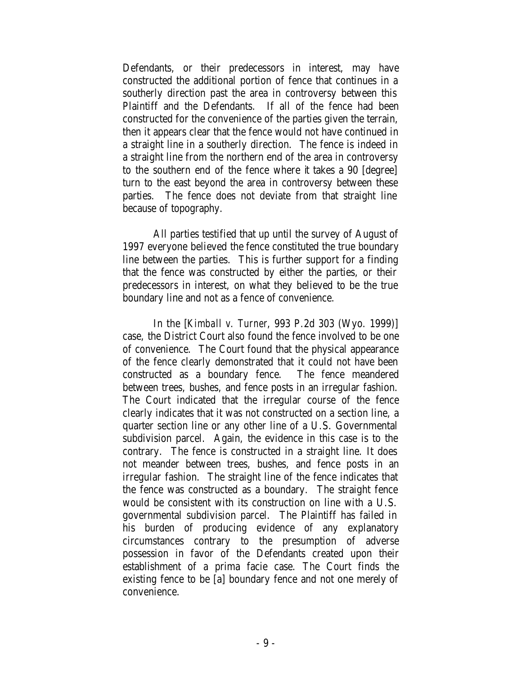Defendants, or their predecessors in interest, may have constructed the additional portion of fence that continues in a southerly direction past the area in controversy between this Plaintiff and the Defendants. If all of the fence had been constructed for the convenience of the parties given the terrain, then it appears clear that the fence would not have continued in a straight line in a southerly direction. The fence is indeed in a straight line from the northern end of the area in controversy to the southern end of the fence where it takes a 90 [degree] turn to the east beyond the area in controversy between these parties. The fence does not deviate from that straight line because of topography.

All parties testified that up until the survey of August of 1997 everyone believed the fence constituted the true boundary line between the parties. This is further support for a finding that the fence was constructed by either the parties, or their predecessors in interest, on what they believed to be the true boundary line and not as a fence of convenience.

In the [*Kimball v. Turner*, 993 P.2d 303 (Wyo. 1999)] case, the District Court also found the fence involved to be one of convenience. The Court found that the physical appearance of the fence clearly demonstrated that it could not have been constructed as a boundary fence. The fence meandered between trees, bushes, and fence posts in an irregular fashion. The Court indicated that the irregular course of the fence clearly indicates that it was not constructed on a section line, a quarter section line or any other line of a U.S. Governmental subdivision parcel. Again, the evidence in this case is to the contrary. The fence is constructed in a straight line. It does not meander between trees, bushes, and fence posts in an irregular fashion. The straight line of the fence indicates that the fence was constructed as a boundary. The straight fence would be consistent with its construction on line with a U.S. governmental subdivision parcel. The Plaintiff has failed in his burden of producing evidence of any explanatory circumstances contrary to the presumption of adverse possession in favor of the Defendants created upon their establishment of a prima facie case. The Court finds the existing fence to be [a] boundary fence and not one merely of convenience.